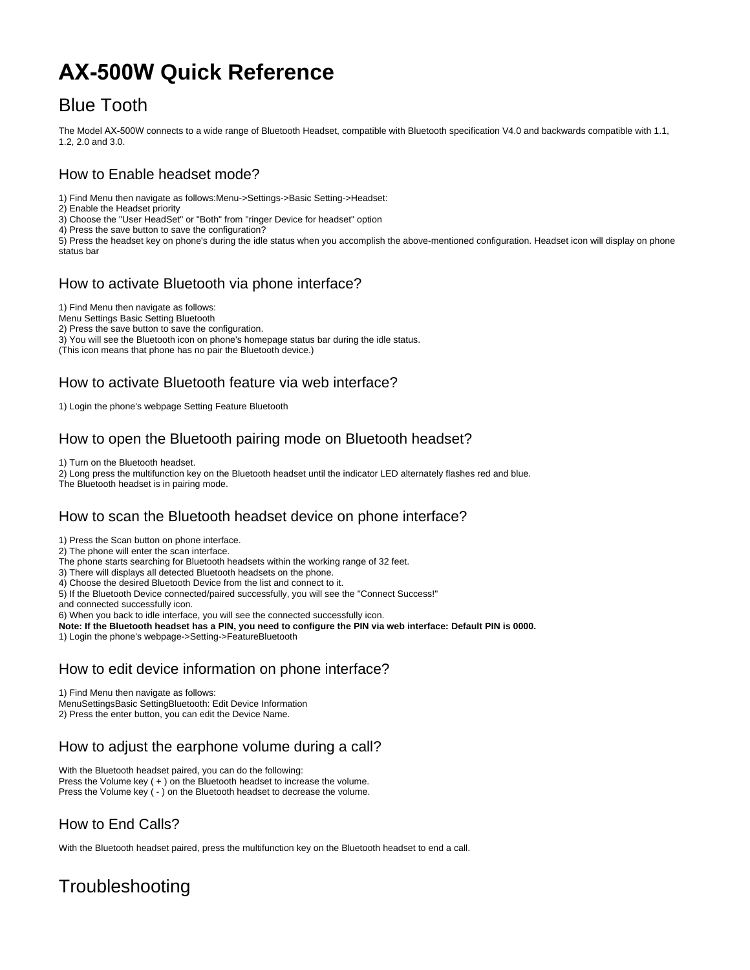# **AX-500W Quick Reference**

## Blue Tooth

The Model AX-500W connects to a wide range of Bluetooth Headset, compatible with Bluetooth specification V4.0 and backwards compatible with 1.1, 1.2, 2.0 and 3.0.

#### How to Enable headset mode?

1) Find Menu then navigate as follows:Menu->Settings->Basic Setting->Headset:

2) Enable the Headset priority

3) Choose the "User HeadSet" or "Both" from "ringer Device for headset" option

4) Press the save button to save the configuration?

5) Press the headset key on phone's during the idle status when you accomplish the above-mentioned configuration. Headset icon will display on phone status bar

#### How to activate Bluetooth via phone interface?

1) Find Menu then navigate as follows:

Menu Settings Basic Setting Bluetooth

2) Press the save button to save the configuration.

3) You will see the Bluetooth icon on phone's homepage status bar during the idle status.

(This icon means that phone has no pair the Bluetooth device.)

#### How to activate Bluetooth feature via web interface?

1) Login the phone's webpage Setting Feature Bluetooth

#### How to open the Bluetooth pairing mode on Bluetooth headset?

1) Turn on the Bluetooth headset.

2) Long press the multifunction key on the Bluetooth headset until the indicator LED alternately flashes red and blue.

The Bluetooth headset is in pairing mode.

#### How to scan the Bluetooth headset device on phone interface?

1) Press the Scan button on phone interface.

2) The phone will enter the scan interface.

The phone starts searching for Bluetooth headsets within the working range of 32 feet.

3) There will displays all detected Bluetooth headsets on the phone.

4) Choose the desired Bluetooth Device from the list and connect to it.

5) If the Bluetooth Device connected/paired successfully, you will see the "Connect Success!"

and connected successfully icon.

6) When you back to idle interface, you will see the connected successfully icon.

**Note: If the Bluetooth headset has a PIN, you need to configure the PIN via web interface: Default PIN is 0000.**

1) Login the phone's webpage->Setting->FeatureBluetooth

#### How to edit device information on phone interface?

1) Find Menu then navigate as follows:

MenuSettingsBasic SettingBluetooth: Edit Device Information

2) Press the enter button, you can edit the Device Name.

#### How to adjust the earphone volume during a call?

With the Bluetooth headset paired, you can do the following: Press the Volume key ( + ) on the Bluetooth headset to increase the volume.

Press the Volume key ( - ) on the Bluetooth headset to decrease the volume.

### How to End Calls?

With the Bluetooth headset paired, press the multifunction key on the Bluetooth headset to end a call.

# **Troubleshooting**